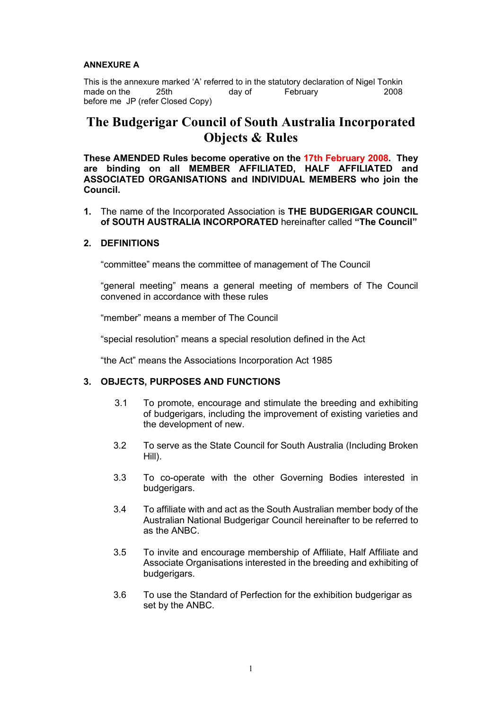#### **ANNEXURE A**

This is the annexure marked 'A' referred to in the statutory declaration of Nigel Tonkin made on the 25th day of February 2008 before me JP (refer Closed Copy)

# **The Budgerigar Council of South Australia Incorporated Objects & Rules**

**These AMENDED Rules become operative on the 17th February 2008. They are binding on all MEMBER AFFILIATED, HALF AFFILIATED and ASSOCIATED ORGANISATIONS and INDIVIDUAL MEMBERS who join the Council.**

**1.** The name of the Incorporated Association is **THE BUDGERIGAR COUNCIL of SOUTH AUSTRALIA INCORPORATED** hereinafter called **"The Council"**

#### **2. DEFINITIONS**

"committee" means the committee of management of The Council

"general meeting" means a general meeting of members of The Council convened in accordance with these rules

"member" means a member of The Council

"special resolution" means a special resolution defined in the Act

"the Act" means the Associations Incorporation Act 1985

# **3. OBJECTS, PURPOSES AND FUNCTIONS**

- 3.1 To promote, encourage and stimulate the breeding and exhibiting of budgerigars, including the improvement of existing varieties and the development of new.
- 3.2 To serve as the State Council for South Australia (Including Broken Hill).
- 3.3 To co-operate with the other Governing Bodies interested in budgerigars.
- 3.4 To affiliate with and act as the South Australian member body of the Australian National Budgerigar Council hereinafter to be referred to as the ANBC.
- 3.5 To invite and encourage membership of Affiliate, Half Affiliate and Associate Organisations interested in the breeding and exhibiting of budgerigars.
- 3.6 To use the Standard of Perfection for the exhibition budgerigar as set by the ANBC.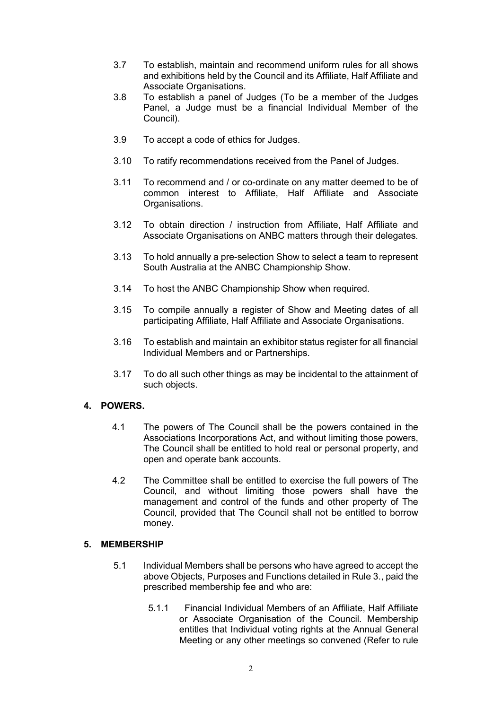- 3.7 To establish, maintain and recommend uniform rules for all shows and exhibitions held by the Council and its Affiliate, Half Affiliate and Associate Organisations.
- 3.8 To establish a panel of Judges (To be a member of the Judges Panel, a Judge must be a financial Individual Member of the Council).
- 3.9 To accept a code of ethics for Judges.
- 3.10 To ratify recommendations received from the Panel of Judges.
- 3.11 To recommend and / or co-ordinate on any matter deemed to be of common interest to Affiliate, Half Affiliate and Associate Organisations.
- 3.12 To obtain direction / instruction from Affiliate, Half Affiliate and Associate Organisations on ANBC matters through their delegates.
- 3.13 To hold annually a pre-selection Show to select a team to represent South Australia at the ANBC Championship Show.
- 3.14 To host the ANBC Championship Show when required.
- 3.15 To compile annually a register of Show and Meeting dates of all participating Affiliate, Half Affiliate and Associate Organisations.
- 3.16 To establish and maintain an exhibitor status register for all financial Individual Members and or Partnerships.
- 3.17 To do all such other things as may be incidental to the attainment of such objects.

# **4. POWERS.**

- 4.1 The powers of The Council shall be the powers contained in the Associations Incorporations Act, and without limiting those powers, The Council shall be entitled to hold real or personal property, and open and operate bank accounts.
- 4.2 The Committee shall be entitled to exercise the full powers of The Council, and without limiting those powers shall have the management and control of the funds and other property of The Council, provided that The Council shall not be entitled to borrow money.

# **5. MEMBERSHIP**

- 5.1 Individual Members shall be persons who have agreed to accept the above Objects, Purposes and Functions detailed in Rule 3., paid the prescribed membership fee and who are:
	- 5.1.1 Financial Individual Members of an Affiliate, Half Affiliate or Associate Organisation of the Council. Membership entitles that Individual voting rights at the Annual General Meeting or any other meetings so convened (Refer to rule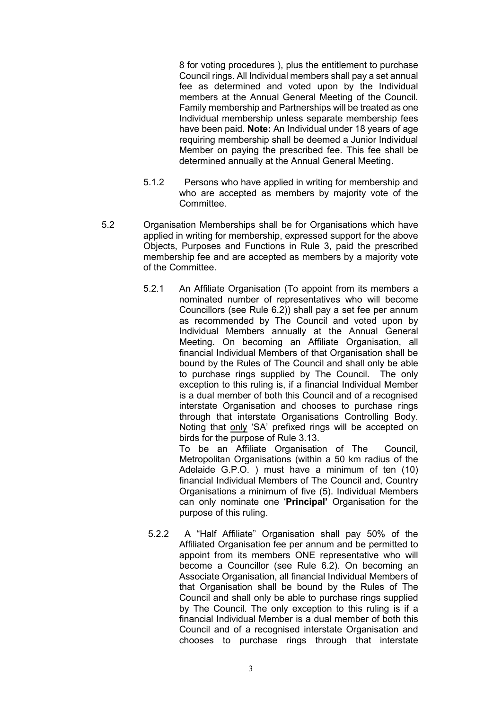8 for voting procedures ), plus the entitlement to purchase Council rings. All Individual members shall pay a set annual fee as determined and voted upon by the Individual members at the Annual General Meeting of the Council. Family membership and Partnerships will be treated as one Individual membership unless separate membership fees have been paid. **Note:** An Individual under 18 years of age requiring membership shall be deemed a Junior Individual Member on paying the prescribed fee. This fee shall be determined annually at the Annual General Meeting.

- 5.1.2 Persons who have applied in writing for membership and who are accepted as members by majority vote of the Committee.
- 5.2 Organisation Memberships shall be for Organisations which have applied in writing for membership, expressed support for the above Objects, Purposes and Functions in Rule 3, paid the prescribed membership fee and are accepted as members by a majority vote of the Committee.
	- 5.2.1 An Affiliate Organisation (To appoint from its members a nominated number of representatives who will become Councillors (see Rule 6.2)) shall pay a set fee per annum as recommended by The Council and voted upon by Individual Members annually at the Annual General Meeting. On becoming an Affiliate Organisation, all financial Individual Members of that Organisation shall be bound by the Rules of The Council and shall only be able to purchase rings supplied by The Council. The only exception to this ruling is, if a financial Individual Member is a dual member of both this Council and of a recognised interstate Organisation and chooses to purchase rings through that interstate Organisations Controlling Body. Noting that only 'SA' prefixed rings will be accepted on birds for the purpose of Rule 3.13.

To be an Affiliate Organisation of The Council, Metropolitan Organisations (within a 50 km radius of the Adelaide G.P.O. ) must have a minimum of ten (10) financial Individual Members of The Council and, Country Organisations a minimum of five (5). Individual Members can only nominate one '**Principal'** Organisation for the purpose of this ruling.

5.2.2 A "Half Affiliate" Organisation shall pay 50% of the Affiliated Organisation fee per annum and be permitted to appoint from its members ONE representative who will become a Councillor (see Rule 6.2). On becoming an Associate Organisation, all financial Individual Members of that Organisation shall be bound by the Rules of The Council and shall only be able to purchase rings supplied by The Council. The only exception to this ruling is if a financial Individual Member is a dual member of both this Council and of a recognised interstate Organisation and chooses to purchase rings through that interstate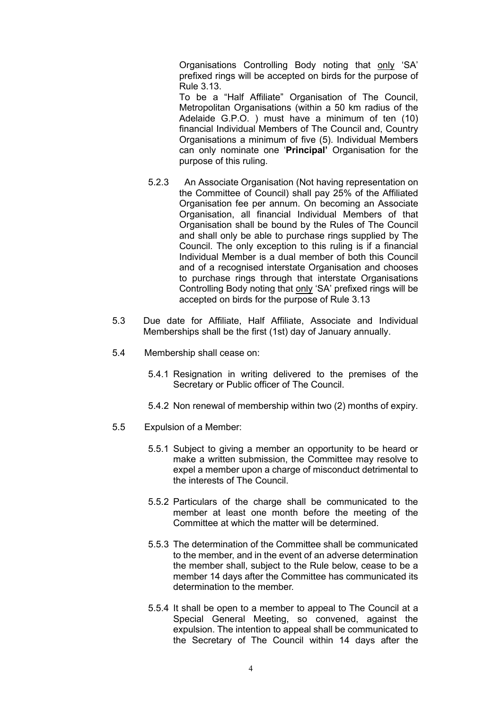Organisations Controlling Body noting that only 'SA' prefixed rings will be accepted on birds for the purpose of Rule 3.13.

To be a "Half Affiliate" Organisation of The Council, Metropolitan Organisations (within a 50 km radius of the Adelaide G.P.O. ) must have a minimum of ten (10) financial Individual Members of The Council and, Country Organisations a minimum of five (5). Individual Members can only nominate one '**Principal'** Organisation for the purpose of this ruling.

- 5.2.3 An Associate Organisation (Not having representation on the Committee of Council) shall pay 25% of the Affiliated Organisation fee per annum. On becoming an Associate Organisation, all financial Individual Members of that Organisation shall be bound by the Rules of The Council and shall only be able to purchase rings supplied by The Council. The only exception to this ruling is if a financial Individual Member is a dual member of both this Council and of a recognised interstate Organisation and chooses to purchase rings through that interstate Organisations Controlling Body noting that only 'SA' prefixed rings will be accepted on birds for the purpose of Rule 3.13
- 5.3 Due date for Affiliate, Half Affiliate, Associate and Individual Memberships shall be the first (1st) day of January annually.
- 5.4 Membership shall cease on:
	- 5.4.1 Resignation in writing delivered to the premises of the Secretary or Public officer of The Council.
	- 5.4.2 Non renewal of membership within two (2) months of expiry.
- 5.5 Expulsion of a Member:
	- 5.5.1 Subject to giving a member an opportunity to be heard or make a written submission, the Committee may resolve to expel a member upon a charge of misconduct detrimental to the interests of The Council.
	- 5.5.2 Particulars of the charge shall be communicated to the member at least one month before the meeting of the Committee at which the matter will be determined.
	- 5.5.3 The determination of the Committee shall be communicated to the member, and in the event of an adverse determination the member shall, subject to the Rule below, cease to be a member 14 days after the Committee has communicated its determination to the member.
	- 5.5.4 It shall be open to a member to appeal to The Council at a Special General Meeting, so convened, against the expulsion. The intention to appeal shall be communicated to the Secretary of The Council within 14 days after the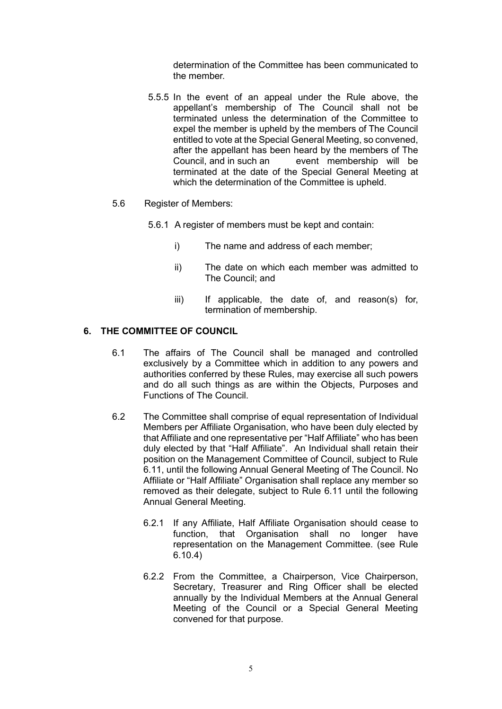determination of the Committee has been communicated to the member.

5.5.5 In the event of an appeal under the Rule above, the appellant's membership of The Council shall not be terminated unless the determination of the Committee to expel the member is upheld by the members of The Council entitled to vote at the Special General Meeting, so convened, after the appellant has been heard by the members of The Council, and in such an event membership will be terminated at the date of the Special General Meeting at which the determination of the Committee is upheld.

#### 5.6 Register of Members:

- 5.6.1 A register of members must be kept and contain:
	- i) The name and address of each member;
	- ii) The date on which each member was admitted to The Council; and
	- iii) If applicable, the date of, and reason(s) for, termination of membership.

#### **6. THE COMMITTEE OF COUNCIL**

- 6.1 The affairs of The Council shall be managed and controlled exclusively by a Committee which in addition to any powers and authorities conferred by these Rules, may exercise all such powers and do all such things as are within the Objects, Purposes and Functions of The Council.
- 6.2 The Committee shall comprise of equal representation of Individual Members per Affiliate Organisation, who have been duly elected by that Affiliate and one representative per "Half Affiliate" who has been duly elected by that "Half Affiliate". An Individual shall retain their position on the Management Committee of Council, subject to Rule 6.11, until the following Annual General Meeting of The Council. No Affiliate or "Half Affiliate" Organisation shall replace any member so removed as their delegate, subject to Rule 6.11 until the following Annual General Meeting.
	- 6.2.1 If any Affiliate, Half Affiliate Organisation should cease to function, that Organisation shall no longer have representation on the Management Committee. (see Rule 6.10.4)
	- 6.2.2 From the Committee, a Chairperson, Vice Chairperson, Secretary, Treasurer and Ring Officer shall be elected annually by the Individual Members at the Annual General Meeting of the Council or a Special General Meeting convened for that purpose.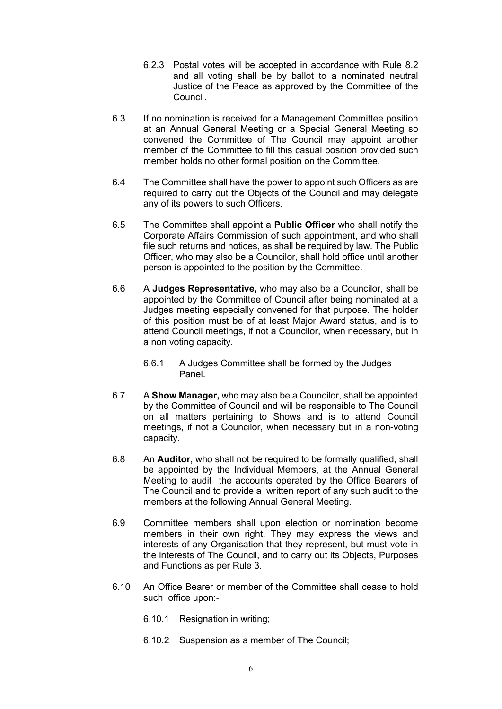- 6.2.3 Postal votes will be accepted in accordance with Rule 8.2 and all voting shall be by ballot to a nominated neutral Justice of the Peace as approved by the Committee of the Council.
- 6.3 If no nomination is received for a Management Committee position at an Annual General Meeting or a Special General Meeting so convened the Committee of The Council may appoint another member of the Committee to fill this casual position provided such member holds no other formal position on the Committee.
- 6.4 The Committee shall have the power to appoint such Officers as are required to carry out the Objects of the Council and may delegate any of its powers to such Officers.
- 6.5 The Committee shall appoint a **Public Officer** who shall notify the Corporate Affairs Commission of such appointment, and who shall file such returns and notices, as shall be required by law. The Public Officer, who may also be a Councilor, shall hold office until another person is appointed to the position by the Committee.
- 6.6 A **Judges Representative,** who may also be a Councilor, shall be appointed by the Committee of Council after being nominated at a Judges meeting especially convened for that purpose. The holder of this position must be of at least Major Award status, and is to attend Council meetings, if not a Councilor, when necessary, but in a non voting capacity.
	- 6.6.1 A Judges Committee shall be formed by the Judges Panel.
- 6.7 A **Show Manager,** who may also be a Councilor, shall be appointed by the Committee of Council and will be responsible to The Council on all matters pertaining to Shows and is to attend Council meetings, if not a Councilor, when necessary but in a non-voting capacity.
- 6.8 An **Auditor,** who shall not be required to be formally qualified, shall be appointed by the Individual Members, at the Annual General Meeting to audit the accounts operated by the Office Bearers of The Council and to provide a written report of any such audit to the members at the following Annual General Meeting.
- 6.9 Committee members shall upon election or nomination become members in their own right. They may express the views and interests of any Organisation that they represent, but must vote in the interests of The Council, and to carry out its Objects, Purposes and Functions as per Rule 3.
- 6.10 An Office Bearer or member of the Committee shall cease to hold such office upon:-
	- 6.10.1 Resignation in writing;
	- 6.10.2 Suspension as a member of The Council;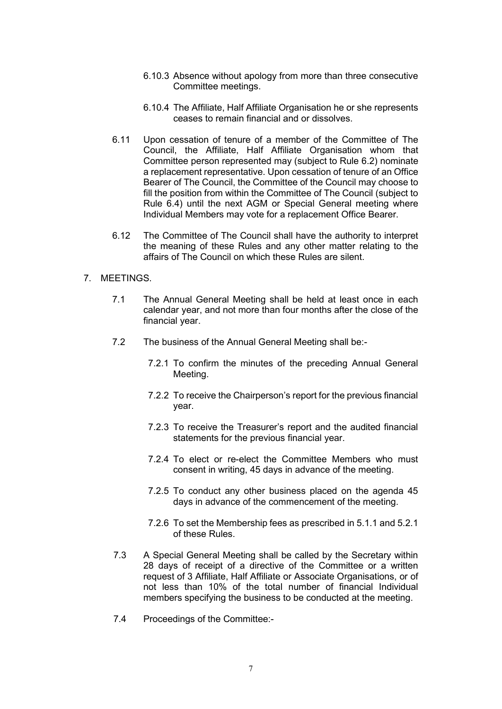- 6.10.3 Absence without apology from more than three consecutive Committee meetings.
- 6.10.4 The Affiliate, Half Affiliate Organisation he or she represents ceases to remain financial and or dissolves.
- 6.11 Upon cessation of tenure of a member of the Committee of The Council, the Affiliate, Half Affiliate Organisation whom that Committee person represented may (subject to Rule 6.2) nominate a replacement representative. Upon cessation of tenure of an Office Bearer of The Council, the Committee of the Council may choose to fill the position from within the Committee of The Council (subject to Rule 6.4) until the next AGM or Special General meeting where Individual Members may vote for a replacement Office Bearer.
- 6.12 The Committee of The Council shall have the authority to interpret the meaning of these Rules and any other matter relating to the affairs of The Council on which these Rules are silent.

#### 7. MEETINGS.

- 7.1 The Annual General Meeting shall be held at least once in each calendar year, and not more than four months after the close of the financial year.
- 7.2 The business of the Annual General Meeting shall be:-
	- 7.2.1 To confirm the minutes of the preceding Annual General Meeting.
	- 7.2.2 To receive the Chairperson's report for the previous financial year.
	- 7.2.3 To receive the Treasurer's report and the audited financial statements for the previous financial year.
	- 7.2.4 To elect or re-elect the Committee Members who must consent in writing, 45 days in advance of the meeting.
	- 7.2.5 To conduct any other business placed on the agenda 45 days in advance of the commencement of the meeting.
	- 7.2.6 To set the Membership fees as prescribed in 5.1.1 and 5.2.1 of these Rules.
- 7.3 A Special General Meeting shall be called by the Secretary within 28 days of receipt of a directive of the Committee or a written request of 3 Affiliate, Half Affiliate or Associate Organisations, or of not less than 10% of the total number of financial Individual members specifying the business to be conducted at the meeting.
- 7.4 Proceedings of the Committee:-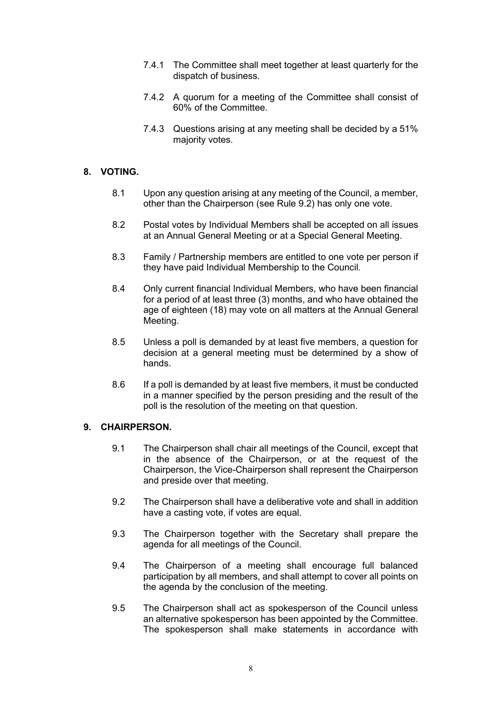- 7.4.1 The Committee shall meet together at least quarterly for the dispatch of business.
- 7.4.2 A quorum for a meeting of the Committee shall consist of 60% of the Committee.
- 7.4.3 Questions arising at any meeting shall be decided by a 51% majority votes.

# **8. VOTING.**

- 8.1 Upon any question arising at any meeting of the Council, a member, other than the Chairperson (see Rule 9.2) has only one vote.
- 8.2 Postal votes by Individual Members shall be accepted on all issues at an Annual General Meeting or at a Special General Meeting.
- 8.3 Family / Partnership members are entitled to one vote per person if they have paid Individual Membership to the Council.
- 8.4 Only current financial Individual Members, who have been financial for a period of at least three (3) months, and who have obtained the age of eighteen (18) may vote on all matters at the Annual General Meeting.
- 8.5 Unless a poll is demanded by at least five members, a question for decision at a general meeting must be determined by a show of hands.
- 8.6 If a poll is demanded by at least five members, it must be conducted in a manner specified by the person presiding and the result of the poll is the resolution of the meeting on that question.

# **9. CHAIRPERSON.**

- 9.1 The Chairperson shall chair all meetings of the Council, except that in the absence of the Chairperson, or at the request of the Chairperson, the Vice-Chairperson shall represent the Chairperson and preside over that meeting.
- 9.2 The Chairperson shall have a deliberative vote and shall in addition have a casting vote, if votes are equal.
- 9.3 The Chairperson together with the Secretary shall prepare the agenda for all meetings of the Council.
- 9.4 The Chairperson of a meeting shall encourage full balanced participation by all members, and shall attempt to cover all points on the agenda by the conclusion of the meeting.
- 9.5 The Chairperson shall act as spokesperson of the Council unless an alternative spokesperson has been appointed by the Committee. The spokesperson shall make statements in accordance with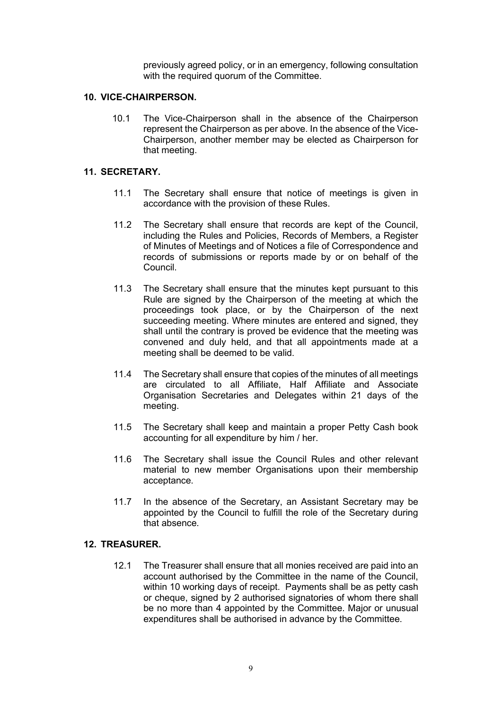previously agreed policy, or in an emergency, following consultation with the required quorum of the Committee.

#### **10. VICE-CHAIRPERSON.**

10.1 The Vice-Chairperson shall in the absence of the Chairperson represent the Chairperson as per above. In the absence of the Vice-Chairperson, another member may be elected as Chairperson for that meeting.

#### **11. SECRETARY.**

- 11.1 The Secretary shall ensure that notice of meetings is given in accordance with the provision of these Rules.
- 11.2 The Secretary shall ensure that records are kept of the Council, including the Rules and Policies, Records of Members, a Register of Minutes of Meetings and of Notices a file of Correspondence and records of submissions or reports made by or on behalf of the Council.
- 11.3 The Secretary shall ensure that the minutes kept pursuant to this Rule are signed by the Chairperson of the meeting at which the proceedings took place, or by the Chairperson of the next succeeding meeting. Where minutes are entered and signed, they shall until the contrary is proved be evidence that the meeting was convened and duly held, and that all appointments made at a meeting shall be deemed to be valid.
- 11.4 The Secretary shall ensure that copies of the minutes of all meetings are circulated to all Affiliate, Half Affiliate and Associate Organisation Secretaries and Delegates within 21 days of the meeting.
- 11.5 The Secretary shall keep and maintain a proper Petty Cash book accounting for all expenditure by him / her.
- 11.6 The Secretary shall issue the Council Rules and other relevant material to new member Organisations upon their membership acceptance.
- 11.7 In the absence of the Secretary, an Assistant Secretary may be appointed by the Council to fulfill the role of the Secretary during that absence.

#### **12. TREASURER.**

12.1 The Treasurer shall ensure that all monies received are paid into an account authorised by the Committee in the name of the Council, within 10 working days of receipt. Payments shall be as petty cash or cheque, signed by 2 authorised signatories of whom there shall be no more than 4 appointed by the Committee. Major or unusual expenditures shall be authorised in advance by the Committee.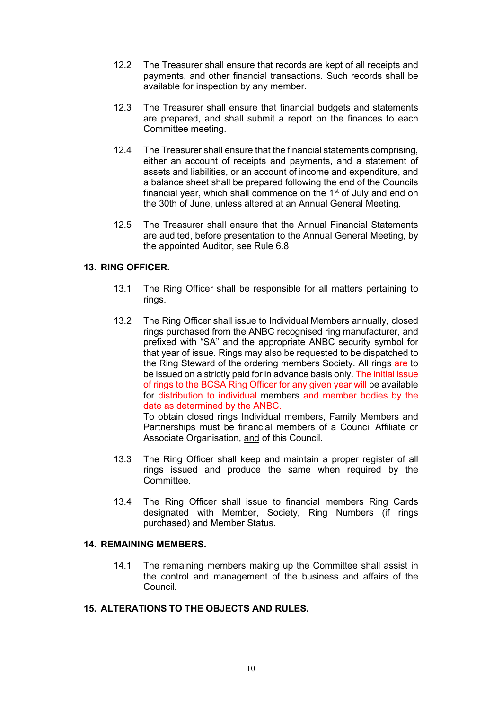- 12.2 The Treasurer shall ensure that records are kept of all receipts and payments, and other financial transactions. Such records shall be available for inspection by any member.
- 12.3 The Treasurer shall ensure that financial budgets and statements are prepared, and shall submit a report on the finances to each Committee meeting.
- 12.4 The Treasurer shall ensure that the financial statements comprising, either an account of receipts and payments, and a statement of assets and liabilities, or an account of income and expenditure, and a balance sheet shall be prepared following the end of the Councils financial year, which shall commence on the  $1<sup>st</sup>$  of July and end on the 30th of June, unless altered at an Annual General Meeting.
- 12.5 The Treasurer shall ensure that the Annual Financial Statements are audited, before presentation to the Annual General Meeting, by the appointed Auditor, see Rule 6.8

# **13. RING OFFICER.**

- 13.1 The Ring Officer shall be responsible for all matters pertaining to rings.
- 13.2 The Ring Officer shall issue to Individual Members annually, closed rings purchased from the ANBC recognised ring manufacturer, and prefixed with "SA" and the appropriate ANBC security symbol for that year of issue. Rings may also be requested to be dispatched to the Ring Steward of the ordering members Society. All rings are to be issued on a strictly paid for in advance basis only. The initial issue of rings to the BCSA Ring Officer for any given year will be available for distribution to individual members and member bodies by the date as determined by the ANBC.

To obtain closed rings Individual members, Family Members and Partnerships must be financial members of a Council Affiliate or Associate Organisation, and of this Council.

- 13.3 The Ring Officer shall keep and maintain a proper register of all rings issued and produce the same when required by the Committee.
- 13.4 The Ring Officer shall issue to financial members Ring Cards designated with Member, Society, Ring Numbers (if rings purchased) and Member Status.

# **14. REMAINING MEMBERS.**

14.1 The remaining members making up the Committee shall assist in the control and management of the business and affairs of the Council.

# **15. ALTERATIONS TO THE OBJECTS AND RULES.**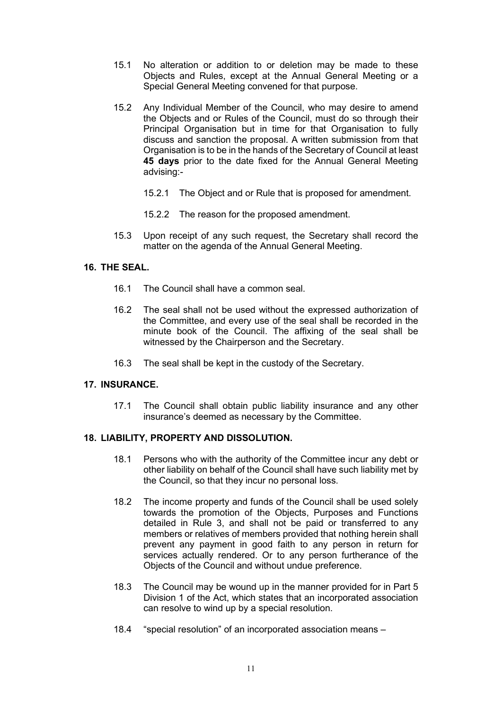- 15.1 No alteration or addition to or deletion may be made to these Objects and Rules, except at the Annual General Meeting or a Special General Meeting convened for that purpose.
- 15.2 Any Individual Member of the Council, who may desire to amend the Objects and or Rules of the Council, must do so through their Principal Organisation but in time for that Organisation to fully discuss and sanction the proposal. A written submission from that Organisation is to be in the hands of the Secretary of Council at least **45 days** prior to the date fixed for the Annual General Meeting advising:-
	- 15.2.1 The Object and or Rule that is proposed for amendment.
	- 15.2.2 The reason for the proposed amendment.
- 15.3 Upon receipt of any such request, the Secretary shall record the matter on the agenda of the Annual General Meeting.

# **16. THE SEAL.**

- 16.1 The Council shall have a common seal.
- 16.2 The seal shall not be used without the expressed authorization of the Committee, and every use of the seal shall be recorded in the minute book of the Council. The affixing of the seal shall be witnessed by the Chairperson and the Secretary.
- 16.3 The seal shall be kept in the custody of the Secretary.

# **17. INSURANCE.**

17.1 The Council shall obtain public liability insurance and any other insurance's deemed as necessary by the Committee.

#### **18. LIABILITY, PROPERTY AND DISSOLUTION.**

- 18.1 Persons who with the authority of the Committee incur any debt or other liability on behalf of the Council shall have such liability met by the Council, so that they incur no personal loss.
- 18.2 The income property and funds of the Council shall be used solely towards the promotion of the Objects, Purposes and Functions detailed in Rule 3, and shall not be paid or transferred to any members or relatives of members provided that nothing herein shall prevent any payment in good faith to any person in return for services actually rendered. Or to any person furtherance of the Objects of the Council and without undue preference.
- 18.3 The Council may be wound up in the manner provided for in Part 5 Division 1 of the Act, which states that an incorporated association can resolve to wind up by a special resolution.
- 18.4 "special resolution" of an incorporated association means –